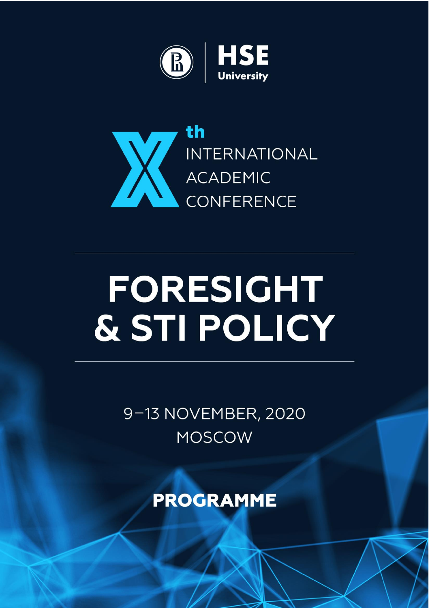



# FORESIGHT & STI POLICY

9-13 NOVEMBER, 2020 **MOSCOW** 

**PROGRAMME**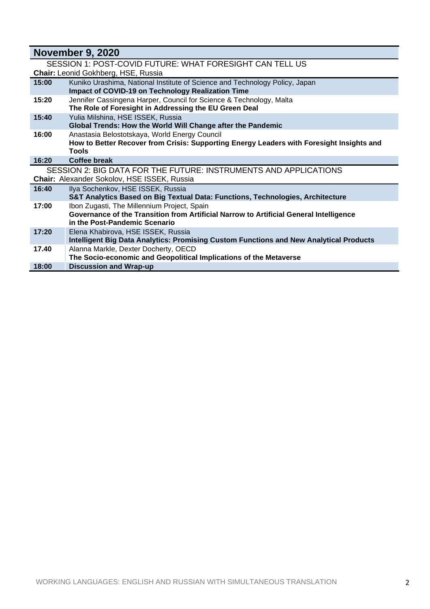| <b>November 9, 2020</b>                                  |                                                                                               |  |
|----------------------------------------------------------|-----------------------------------------------------------------------------------------------|--|
| SESSION 1: POST-COVID FUTURE: WHAT FORESIGHT CAN TELL US |                                                                                               |  |
| <b>Chair:</b> Leonid Gokhberg, HSE, Russia               |                                                                                               |  |
| 15:00                                                    | Kuniko Urashima, National Institute of Science and Technology Policy, Japan                   |  |
|                                                          | <b>Impact of COVID-19 on Technology Realization Time</b>                                      |  |
| 15:20                                                    | Jennifer Cassingena Harper, Council for Science & Technology, Malta                           |  |
|                                                          | The Role of Foresight in Addressing the EU Green Deal                                         |  |
| 15:40                                                    | Yulia Milshina, HSE ISSEK, Russia                                                             |  |
|                                                          | Global Trends: How the World Will Change after the Pandemic                                   |  |
| 16:00                                                    | Anastasia Belostotskaya, World Energy Council                                                 |  |
|                                                          | How to Better Recover from Crisis: Supporting Energy Leaders with Foresight Insights and      |  |
|                                                          | <b>Tools</b>                                                                                  |  |
| 16:20                                                    | Coffee break                                                                                  |  |
|                                                          | SESSION 2: BIG DATA FOR THE FUTURE: INSTRUMENTS AND APPLICATIONS                              |  |
|                                                          | Chair: Alexander Sokolov, HSE ISSEK, Russia                                                   |  |
| 16:40                                                    | Ilya Sochenkov, HSE ISSEK, Russia                                                             |  |
|                                                          | S&T Analytics Based on Big Textual Data: Functions, Technologies, Architecture                |  |
| 17:00                                                    | Ibon Zugasti, The Millennium Project, Spain                                                   |  |
|                                                          | Governance of the Transition from Artificial Narrow to Artificial General Intelligence        |  |
|                                                          | in the Post-Pandemic Scenario                                                                 |  |
| 17:20                                                    | Elena Khabirova, HSE ISSEK, Russia                                                            |  |
|                                                          | <b>Intelligent Big Data Analytics: Promising Custom Functions and New Analytical Products</b> |  |
| 17.40                                                    | Alanna Markle, Dexter Docherty, OECD                                                          |  |
|                                                          | The Socio-economic and Geopolitical Implications of the Metaverse                             |  |
| 18:00                                                    | <b>Discussion and Wrap-up</b>                                                                 |  |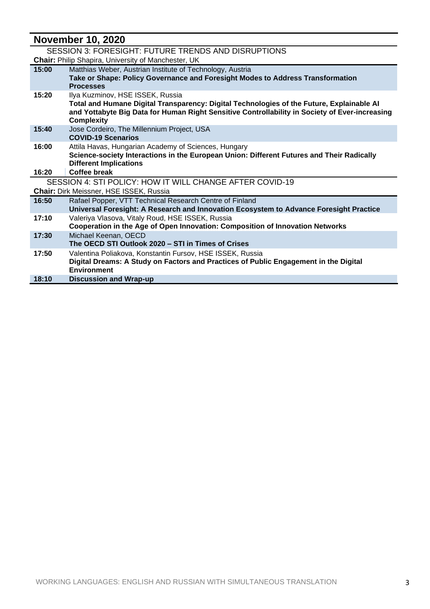## **November 10, 2020**

| SESSION 3: FORESIGHT: FUTURE TRENDS AND DISRUPTIONS |                                                                                                                                                                                                                                                      |  |
|-----------------------------------------------------|------------------------------------------------------------------------------------------------------------------------------------------------------------------------------------------------------------------------------------------------------|--|
|                                                     | <b>Chair:</b> Philip Shapira, University of Manchester, UK                                                                                                                                                                                           |  |
| 15:00                                               | Matthias Weber, Austrian Institute of Technology, Austria<br>Take or Shape: Policy Governance and Foresight Modes to Address Transformation<br><b>Processes</b>                                                                                      |  |
| 15:20                                               | Ilya Kuzminov, HSE ISSEK, Russia<br>Total and Humane Digital Transparency: Digital Technologies of the Future, Explainable AI<br>and Yottabyte Big Data for Human Right Sensitive Controllability in Society of Ever-increasing<br><b>Complexity</b> |  |
| 15:40                                               | Jose Cordeiro, The Millennium Project, USA<br><b>COVID-19 Scenarios</b>                                                                                                                                                                              |  |
| 16:00                                               | Attila Havas, Hungarian Academy of Sciences, Hungary<br>Science-society Interactions in the European Union: Different Futures and Their Radically<br><b>Different Implications</b>                                                                   |  |
| 16:20                                               | Coffee break                                                                                                                                                                                                                                         |  |
|                                                     | SESSION 4: STI POLICY: HOW IT WILL CHANGE AFTER COVID-19                                                                                                                                                                                             |  |
|                                                     | Chair: Dirk Meissner, HSE ISSEK, Russia                                                                                                                                                                                                              |  |
| 16:50                                               | Rafael Popper, VTT Technical Research Centre of Finland<br>Universal Foresight: A Research and Innovation Ecosystem to Advance Foresight Practice                                                                                                    |  |
| 17:10                                               | Valeriya Vlasova, Vitaly Roud, HSE ISSEK, Russia<br>Cooperation in the Age of Open Innovation: Composition of Innovation Networks                                                                                                                    |  |
| 17:30                                               | Michael Keenan, OECD<br>The OECD STI Outlook 2020 – STI in Times of Crises                                                                                                                                                                           |  |
| 17:50                                               | Valentina Poliakova, Konstantin Fursov, HSE ISSEK, Russia<br>Digital Dreams: A Study on Factors and Practices of Public Engagement in the Digital<br><b>Environment</b>                                                                              |  |
| 18:10                                               | <b>Discussion and Wrap-up</b>                                                                                                                                                                                                                        |  |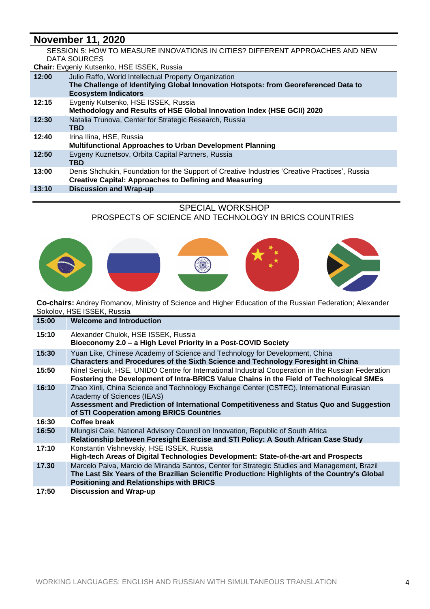### **November 11, 2020**

#### SESSION 5: HOW TO MEASURE INNOVATIONS IN CITIES? DIFFERENT APPROACHES AND NEW DATA SOURCES

**Chair:** Evgeniy Kutsenko, HSE ISSEK, Russia

| 12:00 | Julio Raffo, World Intellectual Property Organization<br>The Challenge of Identifying Global Innovation Hotspots: from Georeferenced Data to<br><b>Ecosystem Indicators</b> |
|-------|-----------------------------------------------------------------------------------------------------------------------------------------------------------------------------|
| 12:15 | Evgeniy Kutsenko, HSE ISSEK, Russia<br>Methodology and Results of HSE Global Innovation Index (HSE GCII) 2020                                                               |
| 12:30 | Natalia Trunova, Center for Strategic Research, Russia<br><b>TBD</b>                                                                                                        |
| 12:40 | Irina Ilina, HSE, Russia<br>Multifunctional Approaches to Urban Development Planning                                                                                        |
| 12:50 | Evgeny Kuznetsov, Orbita Capital Partners, Russia<br><b>TBD</b>                                                                                                             |
| 13:00 | Denis Shchukin, Foundation for the Support of Creative Industries 'Creative Practices', Russia<br><b>Creative Capital: Approaches to Defining and Measuring</b>             |
| 13:10 | <b>Discussion and Wrap-up</b>                                                                                                                                               |
|       |                                                                                                                                                                             |

#### SPECIAL WORKSHOP

PROSPECTS OF SCIENCE AND TECHNOLOGY IN BRICS COUNTRIES



**Co-chairs:** Andrey Romanov, Ministry of Science and Higher Education of the Russian Federation; Alexander Sokolov, HSE ISSEK, Russia

| 15:00 | <b>Welcome and Introduction</b>                                                                                                                                                                                                                                |
|-------|----------------------------------------------------------------------------------------------------------------------------------------------------------------------------------------------------------------------------------------------------------------|
| 15:10 | Alexander Chulok, HSE ISSEK, Russia<br>Bioeconomy 2.0 - a High Level Priority in a Post-COVID Society                                                                                                                                                          |
| 15:30 | Yuan Like, Chinese Academy of Science and Technology for Development, China<br>Characters and Procedures of the Sixth Science and Technology Foresight in China                                                                                                |
| 15:50 | Ninel Seniuk, HSE, UNIDO Centre for International Industrial Cooperation in the Russian Federation<br>Fostering the Development of Intra-BRICS Value Chains in the Field of Technological SMEs                                                                 |
| 16:10 | Zhao Xinli, China Science and Technology Exchange Center (CSTEC), International Eurasian<br>Academy of Sciences (IEAS)<br>Assessment and Prediction of International Competitiveness and Status Quo and Suggestion<br>of STI Cooperation among BRICS Countries |
| 16:30 | <b>Coffee break</b>                                                                                                                                                                                                                                            |
| 16:50 | Mlungisi Cele, National Advisory Council on Innovation, Republic of South Africa<br>Relationship between Foresight Exercise and STI Policy: A South African Case Study                                                                                         |
| 17:10 | Konstantin Vishnevskiy, HSE ISSEK, Russia<br>High-tech Areas of Digital Technologies Development: State-of-the-art and Prospects                                                                                                                               |
| 17.30 | Marcelo Paiva, Marcio de Miranda Santos, Center for Strategic Studies and Management, Brazil<br>The Last Six Years of the Brazilian Scientific Production: Highlights of the Country's Global<br><b>Positioning and Relationships with BRICS</b>               |
| 17:50 | <b>Discussion and Wrap-up</b>                                                                                                                                                                                                                                  |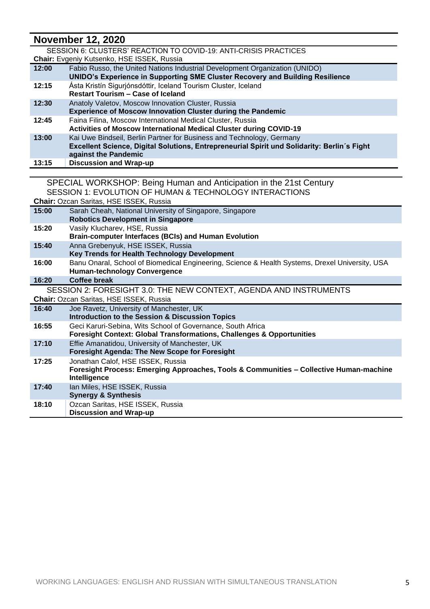## **November 12, 2020**

| NOVEMBER 12, 2020 |                                                                                                                                                                                              |  |
|-------------------|----------------------------------------------------------------------------------------------------------------------------------------------------------------------------------------------|--|
|                   | SESSION 6: CLUSTERS' REACTION TO COVID-19: ANTI-CRISIS PRACTICES                                                                                                                             |  |
|                   | Chair: Evgeniy Kutsenko, HSE ISSEK, Russia                                                                                                                                                   |  |
| 12:00             | Fabio Russo, the United Nations Industrial Development Organization (UNIDO)<br>UNIDO's Experience in Supporting SME Cluster Recovery and Building Resilience                                 |  |
| 12:15             | Ásta Kristín Sigurjónsdóttir, Iceland Tourism Cluster, Iceland<br><b>Restart Tourism - Case of Iceland</b>                                                                                   |  |
| 12:30             | Anatoly Valetov, Moscow Innovation Cluster, Russia<br><b>Experience of Moscow Innovation Cluster during the Pandemic</b>                                                                     |  |
| 12:45             | Faina Filina, Moscow International Medical Cluster, Russia<br><b>Activities of Moscow International Medical Cluster during COVID-19</b>                                                      |  |
| 13:00             | Kai Uwe Bindseil, Berlin Partner for Business and Technology, Germany<br>Excellent Science, Digital Solutions, Entrepreneurial Spirit und Solidarity: Berlin's Fight<br>against the Pandemic |  |
| 13:15             | <b>Discussion and Wrap-up</b>                                                                                                                                                                |  |
|                   |                                                                                                                                                                                              |  |
|                   | SPECIAL WORKSHOP: Being Human and Anticipation in the 21st Century                                                                                                                           |  |
|                   | SESSION 1: EVOLUTION OF HUMAN & TECHNOLOGY INTERACTIONS                                                                                                                                      |  |
|                   | Chair: Ozcan Saritas, HSE ISSEK, Russia                                                                                                                                                      |  |
| 15:00             | Sarah Cheah, National University of Singapore, Singapore<br><b>Robotics Development in Singapore</b>                                                                                         |  |
| 15:20             | Vasily Klucharev, HSE, Russia                                                                                                                                                                |  |
|                   | <b>Brain-computer Interfaces (BCIs) and Human Evolution</b>                                                                                                                                  |  |
| 15:40             | Anna Grebenyuk, HSE ISSEK, Russia                                                                                                                                                            |  |
|                   | Key Trends for Health Technology Development                                                                                                                                                 |  |
| 16:00             | Banu Onaral, School of Biomedical Engineering, Science & Health Systems, Drexel University, USA<br><b>Human-technology Convergence</b>                                                       |  |
| 16:20             | <b>Coffee break</b>                                                                                                                                                                          |  |
|                   |                                                                                                                                                                                              |  |
|                   | SESSION 2: FORESIGHT 3.0: THE NEW CONTEXT, AGENDA AND INSTRUMENTS                                                                                                                            |  |
|                   | <b>Chair: Ozcan Saritas, HSE ISSEK, Russia</b>                                                                                                                                               |  |
| 16:40             | Joe Ravetz, University of Manchester, UK<br><b>Introduction to the Session &amp; Discussion Topics</b>                                                                                       |  |
| 16:55             | Geci Karuri-Sebina, Wits School of Governance, South Africa<br><b>Foresight Context: Global Transformations, Challenges &amp; Opportunities</b>                                              |  |
| 17:10             | Effie Amanatidou, University of Manchester, UK                                                                                                                                               |  |

**Foresight Process: Emerging Approaches, Tools & Communities – Collective Human-machine** 

**Foresight Agenda: The New Scope for Foresight**

**17:25** Jonathan Calof, HSE ISSEK, Russia

**Intelligence**

17:40 Ian Miles, HSE ISSEK, Russia **Synergy & Synthesis** 18:10 | Ozcan Saritas, HSE ISSEK, Russia **Discussion and Wrap-up**